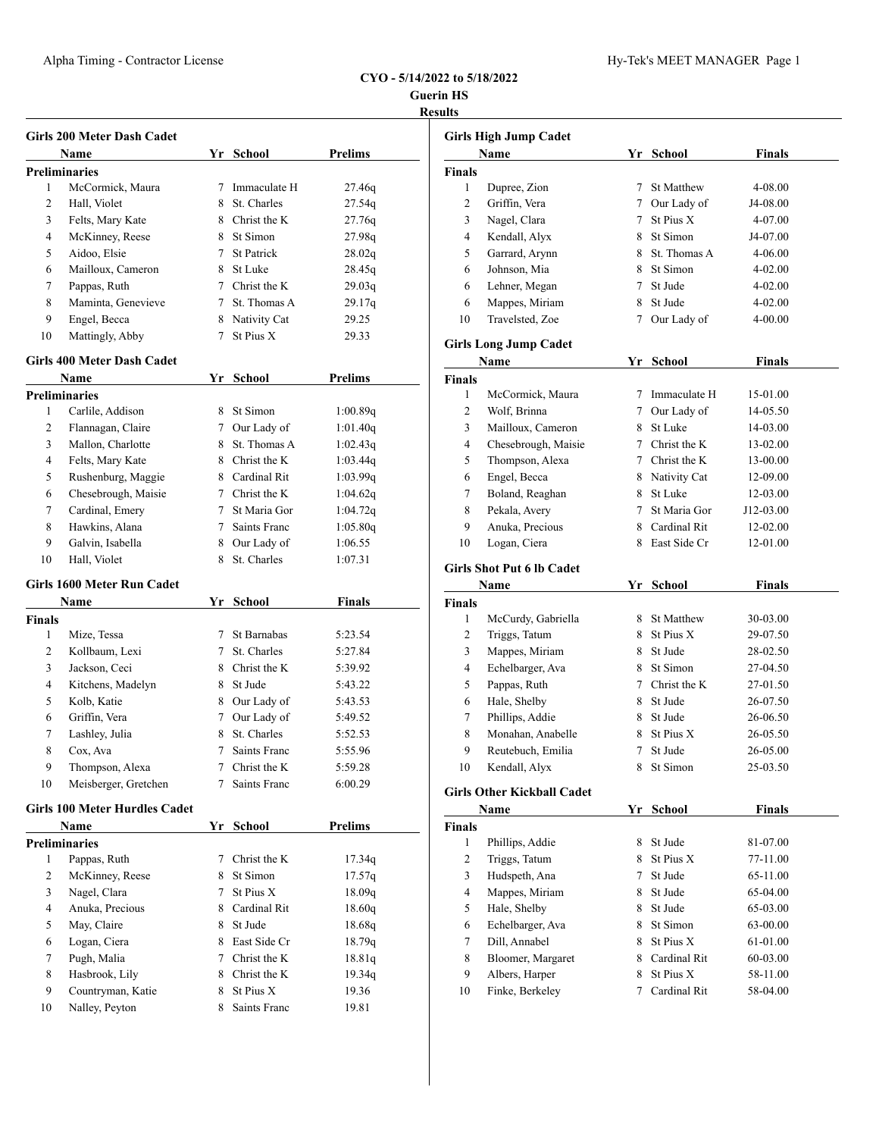## Alpha Timing - Contractor License Hy-Tek's MEET MANAGER Page 1

**Guerin HS Results**

|                       | Girls 200 Meter Dash Cadet<br>Name   |             | Yr School      | <b>Prelims</b>                                                     |
|-----------------------|--------------------------------------|-------------|----------------|--------------------------------------------------------------------|
|                       | Preliminaries                        |             |                |                                                                    |
| 1                     | McCormick, Maura                     | 7           | Immaculate H   | 27.46q                                                             |
| 2                     | Hall, Violet                         |             | 8 St. Charles  | 27.54q                                                             |
| 3                     | Felts, Mary Kate                     |             | 8 Christ the K | 27.76q                                                             |
| 4                     | McKinney, Reese                      |             | 8 St Simon     | 27.98q                                                             |
| 5                     | Aidoo, Elsie                         |             | 7 St Patrick   | 28.02q                                                             |
| 6                     | Mailloux, Cameron                    |             | 8 St Luke      | 28.45q                                                             |
| 7                     | Pappas, Ruth                         |             | 7 Christ the K |                                                                    |
|                       | Maminta, Genevieve                   |             | 7 St. Thomas A | 29.03q                                                             |
| 8                     |                                      |             |                | 29.17q                                                             |
| 9                     | Engel, Becca                         |             | 8 Nativity Cat | 29.25                                                              |
| 10                    | Mattingly, Abby                      |             | 7 St Pius X    | 29.33                                                              |
|                       | Girls 400 Meter Dash Cadet           |             |                |                                                                    |
|                       | Name                                 |             | Yr School      | <b>Prelims</b>                                                     |
|                       | Preliminaries                        |             |                |                                                                    |
| 1                     | Carlile, Addison                     | 8.          | St Simon       | 1:00.89q                                                           |
| 2                     | Flannagan, Claire                    |             | 7 Our Lady of  | 1:01.40q                                                           |
| 3                     | Mallon, Charlotte                    |             | 8 St. Thomas A | 1:02.43q                                                           |
| 4                     | Felts, Mary Kate                     |             | 8 Christ the K | 1:03.44q                                                           |
| 5                     | Rushenburg, Maggie                   |             | 8 Cardinal Rit | 1:03.99q                                                           |
| 6                     | Chesebrough, Maisie                  |             | 7 Christ the K | 1:04.62q                                                           |
| 7                     | Cardinal, Emery                      |             | 7 St Maria Gor | 1:04.72q                                                           |
| 8                     | Hawkins, Alana                       |             | 7 Saints Franc | 1:05.80q                                                           |
| 9                     | Galvin, Isabella                     |             | 8 Our Lady of  | 1:06.55                                                            |
| 10                    | Hall, Violet                         |             | 8 St. Charles  | 1:07.31                                                            |
|                       | Girls 1600 Meter Run Cadet           |             |                |                                                                    |
|                       | Name                                 |             | Yr School      | <b>Finals</b>                                                      |
|                       |                                      |             |                |                                                                    |
|                       |                                      |             |                |                                                                    |
| 1                     | Mize, Tessa                          |             | 7 St Barnabas  | 5:23.54                                                            |
| 2                     | Kollbaum, Lexi                       |             | 7 St. Charles  | 5:27.84                                                            |
| 3                     | Jackson, Ceci                        |             | 8 Christ the K | 5:39.92                                                            |
| 4                     | Kitchens, Madelyn                    |             | 8 St Jude      | 5:43.22                                                            |
| 5                     | Kolb, Katie                          |             | 8 Our Lady of  | 5:43.53                                                            |
| 6                     | Griffin, Vera                        | 7           | Our Lady of    | 5:49.52                                                            |
| 7                     | Lashley, Julia                       | 8           | St. Charles    | 5:52.53                                                            |
| Finals<br>$\,$ 8 $\,$ | Cox, Ava                             | 7           | Saints Franc   | 5:55.96                                                            |
| 9                     | Thompson, Alexa                      | $7^{\circ}$ | Christ the K   | 5:59.28                                                            |
| 10                    | Meisberger, Gretchen                 | $7^{\circ}$ | Saints Franc   | 6:00.29                                                            |
|                       | <b>Girls 100 Meter Hurdles Cadet</b> |             |                |                                                                    |
|                       | Name                                 |             | Yr School      | <b>Prelims</b>                                                     |
|                       | <b>Preliminaries</b>                 |             |                |                                                                    |
| 1                     | Pappas, Ruth                         | 7           | Christ the K   |                                                                    |
| $\mathbf{2}$          | McKinney, Reese                      |             | 8 St Simon     |                                                                    |
| 3                     | Nagel, Clara                         | 7           | St Pius X      |                                                                    |
| 4                     | Anuka, Precious                      |             | 8 Cardinal Rit |                                                                    |
| 5                     | May, Claire                          |             | 8 St Jude      |                                                                    |
| 6                     | Logan, Ciera                         |             | 8 East Side Cr |                                                                    |
| $\tau$                | Pugh, Malia                          |             | 7 Christ the K | 17.34q<br>17.57q<br>18.09q<br>18.60q<br>18.68q<br>18.79q<br>18.81q |
| 8                     |                                      |             | 8 Christ the K | 19.34q                                                             |
| 9                     | Hasbrook, Lily<br>Countryman, Katie  |             | 8 St Pius X    | 19.36                                                              |

|                | Girls High Jump Cadet             |             |                |               |  |
|----------------|-----------------------------------|-------------|----------------|---------------|--|
|                | Name                              |             | Yr School      | Finals        |  |
| Finals         |                                   |             |                |               |  |
| 1              | Dupree, Zion                      | 7           | St Matthew     | 4-08.00       |  |
| 2              | Griffin, Vera                     | 7           | Our Lady of    | J4-08.00      |  |
| 3              | Nagel, Clara                      | 7           | St Pius X      | 4-07.00       |  |
| 4              | Kendall, Alyx                     | 8           | St Simon       | J4-07.00      |  |
| 5              | Garrard, Arynn                    | 8           | St. Thomas A   | 4-06.00       |  |
| 6              | Johnson, Mia                      | 8           | St Simon       | 4-02.00       |  |
| 6              | Lehner, Megan                     | 7           | St Jude        | 4-02.00       |  |
| 6              | Mappes, Miriam                    | 8           | St Jude        | 4-02.00       |  |
| 10             | Travelsted, Zoe                   | 7           | Our Lady of    | 4-00.00       |  |
|                | Girls Long Jump Cadet             |             |                |               |  |
|                | Name                              | Yr          | School         | Finals        |  |
| Finals         |                                   |             |                |               |  |
| 1              | McCormick, Maura                  | 7           | Immaculate H   | 15-01.00      |  |
| 2              | Wolf, Brinna                      |             | 7 Our Lady of  | 14-05.50      |  |
| 3              | Mailloux, Cameron                 |             | 8 St Luke      | 14-03.00      |  |
| 4              | Chesebrough, Maisie               |             | 7 Christ the K | 13-02.00      |  |
| 5              | Thompson, Alexa                   |             | 7 Christ the K | 13-00.00      |  |
| 6              | Engel, Becca                      |             | 8 Nativity Cat | 12-09.00      |  |
| 7              | Boland, Reaghan                   | 8           | St Luke        | 12-03.00      |  |
| 8              | Pekala, Avery                     | 7           | St Maria Gor   | J12-03.00     |  |
| 9              | Anuka, Precious                   | 8           | Cardinal Rit   | 12-02.00      |  |
| 10             | Logan, Ciera                      |             | 8 East Side Cr | 12-01.00      |  |
|                |                                   |             |                |               |  |
|                | <b>Girls Shot Put 6 lb Cadet</b>  |             |                |               |  |
|                | Name                              | Yr          | School         | Finals        |  |
| Finals<br>1    |                                   |             | 8 St Matthew   |               |  |
| 2              | McCurdy, Gabriella                |             | 8 St Pius X    | 30-03.00      |  |
|                | Triggs, Tatum                     |             |                | 29-07.50      |  |
| 3<br>4         | Mappes, Miriam                    |             | 8 St Jude      | 28-02.50      |  |
|                | Echelbarger, Ava                  |             | 8 St Simon     | 27-04.50      |  |
| 5              | Pappas, Ruth                      |             | 7 Christ the K | 27-01.50      |  |
| 6              | Hale, Shelby                      | 8           | St Jude        | 26-07.50      |  |
| 7              | Phillips, Addie                   | 8           | St Jude        | 26-06.50      |  |
| 8              | Monahan, Anabelle                 | 8.          | St Pius X      | 26-05.50      |  |
| 9              | Reutebuch, Emilia                 | 7           | St Jude        | 26-05.00      |  |
| 10             | Kendall, Alyx                     | 8           | St Simon       | 25-03.50      |  |
|                | <b>Girls Other Kickball Cadet</b> |             |                |               |  |
|                | Name                              | Yr          | <b>School</b>  | <b>Finals</b> |  |
| Finals         |                                   |             |                |               |  |
| 1              | Phillips, Addie                   | 8           | St Jude        | 81-07.00      |  |
| $\overline{c}$ | Triggs, Tatum                     |             | 8 St Pius X    | 77-11.00      |  |
| 3              | Hudspeth, Ana                     | $\tau$      | St Jude        | 65-11.00      |  |
| 4              | Mappes, Miriam                    | 8           | St Jude        | 65-04.00      |  |
| 5              | Hale, Shelby                      | 8           | St Jude        | 65-03.00      |  |
| 6              | Echelbarger, Ava                  | 8           | St Simon       | 63-00.00      |  |
| 7              | Dill, Annabel                     | 8           | St Pius X      | 61-01.00      |  |
| 8              | Bloomer, Margaret                 | 8           | Cardinal Rit   | 60-03.00      |  |
| 9              | Albers, Harper                    | 8           | St Pius X      | 58-11.00      |  |
| 10             | Finke, Berkeley                   | $7^{\circ}$ | Cardinal Rit   | 58-04.00      |  |
|                |                                   |             |                |               |  |
|                |                                   |             |                |               |  |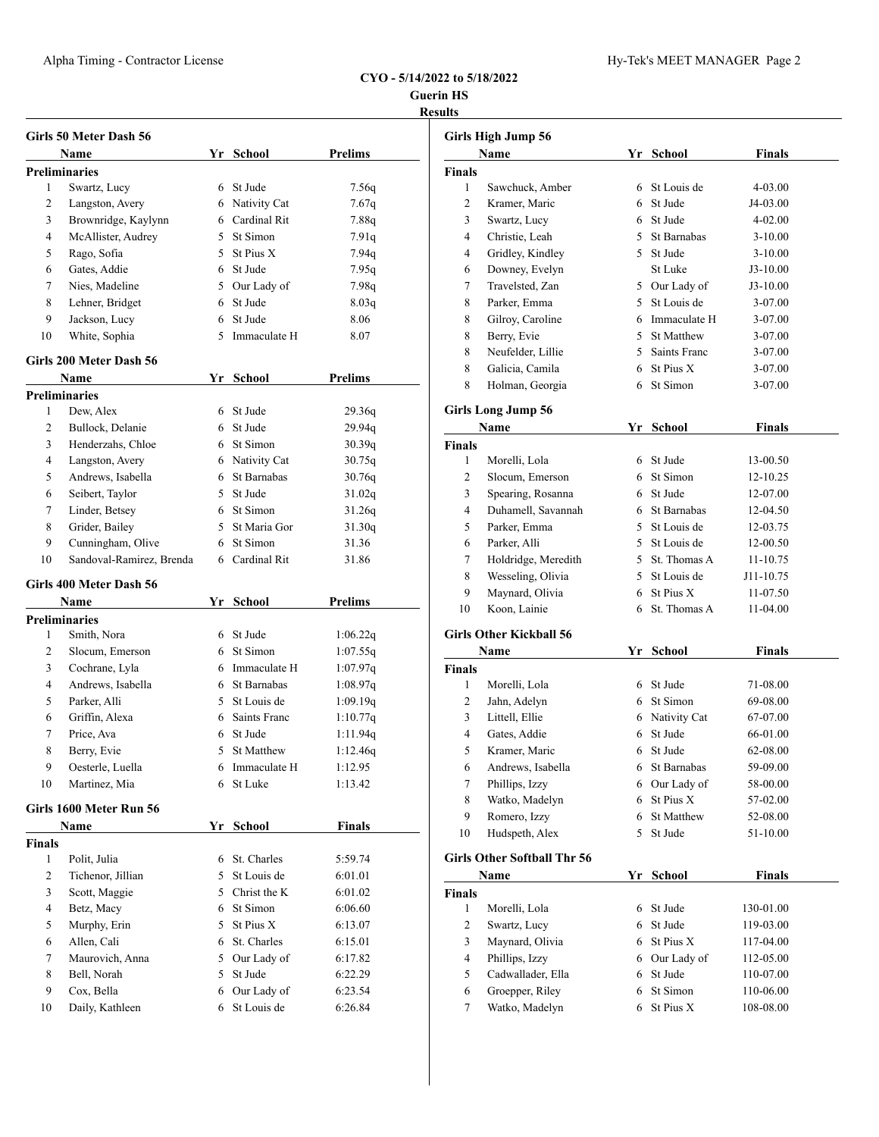| <b>Guerin HS</b> |  |
|------------------|--|
| <b>Results</b>   |  |

| 1<br>2<br>3<br>4<br>5<br>6 | Girls 50 Meter Dash 56<br>Name<br><b>Preliminaries</b><br>Swartz, Lucy<br>Langston, Avery |   | Yr School         | <b>Prelims</b> |
|----------------------------|-------------------------------------------------------------------------------------------|---|-------------------|----------------|
|                            |                                                                                           |   |                   |                |
|                            |                                                                                           |   |                   |                |
|                            |                                                                                           |   |                   |                |
|                            |                                                                                           |   | 6 St Jude         | 7.56q          |
|                            |                                                                                           |   | 6 Nativity Cat    | 7.67q          |
|                            | Brownridge, Kaylynn                                                                       |   | 6 Cardinal Rit    | 7.88q          |
|                            | McAllister, Audrey                                                                        |   | 5 St Simon        | 7.91q          |
|                            | Rago, Sofia                                                                               |   | 5 St Pius X       | 7.94q          |
|                            | Gates, Addie                                                                              |   | 6 St Jude         | 7.95q          |
| 7                          | Nies, Madeline                                                                            |   | 5 Our Lady of     | 7.98q          |
| 8                          | Lehner, Bridget                                                                           |   | 6 St Jude         | 8.03q          |
| 9                          | Jackson, Lucy                                                                             |   | 6 St Jude         | 8.06           |
| 10                         | White, Sophia                                                                             |   | 5 Immaculate H    | 8.07           |
|                            | Girls 200 Meter Dash 56                                                                   |   |                   |                |
|                            | Name                                                                                      |   | Yr School         | <b>Prelims</b> |
|                            | <b>Preliminaries</b>                                                                      |   |                   |                |
| 1                          | Dew, Alex                                                                                 |   | 6 St Jude         | 29.36q         |
| 2                          | Bullock, Delanie                                                                          |   | 6 St Jude         | 29.94q         |
| 3                          | Henderzahs, Chloe                                                                         |   | 6 St Simon        | 30.39q         |
| 4                          | Langston, Avery                                                                           |   | 6 Nativity Cat    | 30.75q         |
| 5                          | Andrews, Isabella                                                                         |   | 6 St Barnabas     | 30.76q         |
| 6                          | Seibert, Taylor                                                                           |   | 5 St Jude         | 31.02q         |
| 7                          | Linder, Betsey                                                                            |   | 6 St Simon        | 31.26q         |
| 8                          | Grider, Bailey                                                                            |   | 5 St Maria Gor    | 31.30q         |
| 9                          | Cunningham, Olive                                                                         |   | 6 St Simon        | 31.36          |
| 10                         |                                                                                           |   | 6 Cardinal Rit    | 31.86          |
|                            | Sandoval-Ramirez, Brenda                                                                  |   |                   |                |
|                            | Girls 400 Meter Dash 56                                                                   |   |                   |                |
|                            | Name                                                                                      |   | Yr School         | Prelims        |
| 1                          | <b>Preliminaries</b>                                                                      |   | 6 St Jude         |                |
|                            | Smith, Nora                                                                               |   |                   | 1:06.22q       |
| 2                          | Slocum, Emerson                                                                           |   | 6 St Simon        | 1:07.55q       |
| 3                          | Cochrane, Lyla                                                                            |   | 6 Immaculate H    | 1:07.97q       |
| 4                          | Andrews, Isabella                                                                         |   | 6 St Barnabas     | 1:08.97q       |
| 5                          | Parker, Alli                                                                              |   | 5 St Louis de     | 1:09.19q       |
| 6                          | Griffin, Alexa                                                                            |   | 6 Saints Franc    | 1:10.77q       |
| 7                          | Price, Ava                                                                                |   | 6 St Jude         | 1:11.94q       |
| 8                          | Berry, Evie                                                                               | 5 | <b>St Matthew</b> | 1:12.46q       |
| 9                          | Oesterle, Luella                                                                          |   | 6 Immaculate H    | 1:12.95        |
| 10                         | Martinez, Mia                                                                             | 6 | St Luke           | 1:13.42        |
|                            | Girls 1600 Meter Run 56                                                                   |   |                   |                |
|                            | Name                                                                                      |   | Yr School         | <b>Finals</b>  |
| <b>Finals</b>              |                                                                                           |   |                   |                |
| 1                          | Polit, Julia                                                                              | 6 | St. Charles       | 5:59.74        |
| 2                          | Tichenor, Jillian                                                                         | 5 | St Louis de       | 6:01.01        |
| 3                          | Scott, Maggie                                                                             |   | 5 Christ the K    | 6:01.02        |
| 4                          | Betz, Macy                                                                                |   | 6 St Simon        | 6:06.60        |
| 5                          | Murphy, Erin                                                                              |   | 5 St Pius X       | 6:13.07        |
|                            | Allen, Cali                                                                               |   | 6 St. Charles     | 6:15.01        |
| 6                          | Maurovich, Anna                                                                           |   | 5 Our Lady of     | 6:17.82        |
| 7                          |                                                                                           |   |                   |                |
| 8                          | Bell, Norah                                                                               | 5 | St Jude           | 6:22.29        |
| 9                          | Cox, Bella                                                                                | 6 | Our Lady of       | 6:23.54        |

|                | Girls High Jump 56                 |    |                |               |  |
|----------------|------------------------------------|----|----------------|---------------|--|
|                | Name                               |    | Yr School      | <b>Finals</b> |  |
| <b>Finals</b>  |                                    |    |                |               |  |
| $\mathbf{1}$   | Sawchuck, Amber                    |    | 6 St Louis de  | 4-03.00       |  |
| 2              | Kramer, Maric                      |    | 6 St Jude      | J4-03.00      |  |
| 3              | Swartz, Lucy                       |    | 6 St Jude      | 4-02.00       |  |
| $\overline{4}$ | Christie, Leah                     |    | 5 St Barnabas  | 3-10.00       |  |
| 4              | Gridley, Kindley                   |    | 5 St Jude      | 3-10.00       |  |
| 6              | Downey, Evelyn                     |    | St Luke        | $J3-10.00$    |  |
| 7              | Travelsted, Zan                    |    | 5 Our Lady of  | $J3-10.00$    |  |
| 8              | Parker, Emma                       |    | 5 St Louis de  | 3-07.00       |  |
| 8              | Gilroy, Caroline                   |    | 6 Immaculate H | 3-07.00       |  |
| 8              | Berry, Evie                        |    | 5 St Matthew   | 3-07.00       |  |
| 8              | Neufelder, Lillie                  |    | 5 Saints Franc | 3-07.00       |  |
| 8              | Galicia, Camila                    |    | $6$ St Pius X  | 3-07.00       |  |
| 8              | Holman, Georgia                    |    | 6 St Simon     | 3-07.00       |  |
|                |                                    |    |                |               |  |
|                | <b>Girls Long Jump 56</b>          |    |                |               |  |
|                | Name                               |    | Yr School      | Finals        |  |
| <b>Finals</b>  |                                    |    |                |               |  |
| 1              | Morelli, Lola                      |    | 6 St Jude      | 13-00.50      |  |
| 2              | Slocum, Emerson                    |    | 6 St Simon     | 12-10.25      |  |
| 3              | Spearing, Rosanna                  |    | 6 St Jude      | 12-07.00      |  |
| $\overline{4}$ | Duhamell, Savannah                 |    | 6 St Barnabas  | 12-04.50      |  |
| 5              | Parker, Emma                       |    | 5 St Louis de  | 12-03.75      |  |
| 6              | Parker, Alli                       |    | 5 St Louis de  | 12-00.50      |  |
| 7              | Holdridge, Meredith                |    | 5 St. Thomas A | 11-10.75      |  |
| 8              | Wesseling, Olivia                  |    | 5 St Louis de  | J11-10.75     |  |
| 9              | Maynard, Olivia                    |    | 6 St Pius X    | 11-07.50      |  |
| 10             | Koon, Lainie                       |    | 6 St. Thomas A | 11-04.00      |  |
|                | <b>Girls Other Kickball 56</b>     |    |                |               |  |
|                | Name                               |    | Yr School      | Finals        |  |
| Finals         |                                    |    |                |               |  |
| 1              | Morelli, Lola                      |    | 6 St Jude      | 71-08.00      |  |
| 2              | Jahn, Adelyn                       |    | 6 St Simon     | 69-08.00      |  |
| 3              | Littell, Ellie                     |    | 6 Nativity Cat | 67-07.00      |  |
| $\overline{4}$ | Gates, Addie                       |    | 6 St Jude      | 66-01.00      |  |
| 5              | Kramer, Maric                      |    | 6 St Jude      | 62-08.00      |  |
| 6              | Andrews, Isabella                  | 6  | St Barnabas    | 59-09.00      |  |
| 7              | Phillips, Izzy                     |    | 6 Our Lady of  | 58-00.00      |  |
| 8              | Watko, Madelyn                     | 6  | St Pius X      | 57-02.00      |  |
| 9              | Romero, Izzy                       | 6  | St Matthew     | 52-08.00      |  |
|                | Hudspeth, Alex                     | 5  | St Jude        | 51-10.00      |  |
|                |                                    |    |                |               |  |
| 10             |                                    |    |                |               |  |
|                | <b>Girls Other Softball Thr 56</b> |    |                |               |  |
|                | Name                               | Yr | <b>School</b>  | <b>Finals</b> |  |
|                |                                    |    |                |               |  |
| 1              | Morelli, Lola                      | 6  | St Jude        | 130-01.00     |  |
| $\overline{c}$ | Swartz, Lucy                       | 6  | St Jude        | 119-03.00     |  |
| 3              | Maynard, Olivia                    | 6  | St Pius X      | 117-04.00     |  |
| 4              | Phillips, Izzy                     | 6  | Our Lady of    | 112-05.00     |  |
| Finals<br>5    | Cadwallader, Ella                  | 6  | St Jude        | 110-07.00     |  |
| 6              | Groepper, Riley                    | 6  | St Simon       | 110-06.00     |  |
| 7              | Watko, Madelyn                     | 6  | St Pius X      | 108-08.00     |  |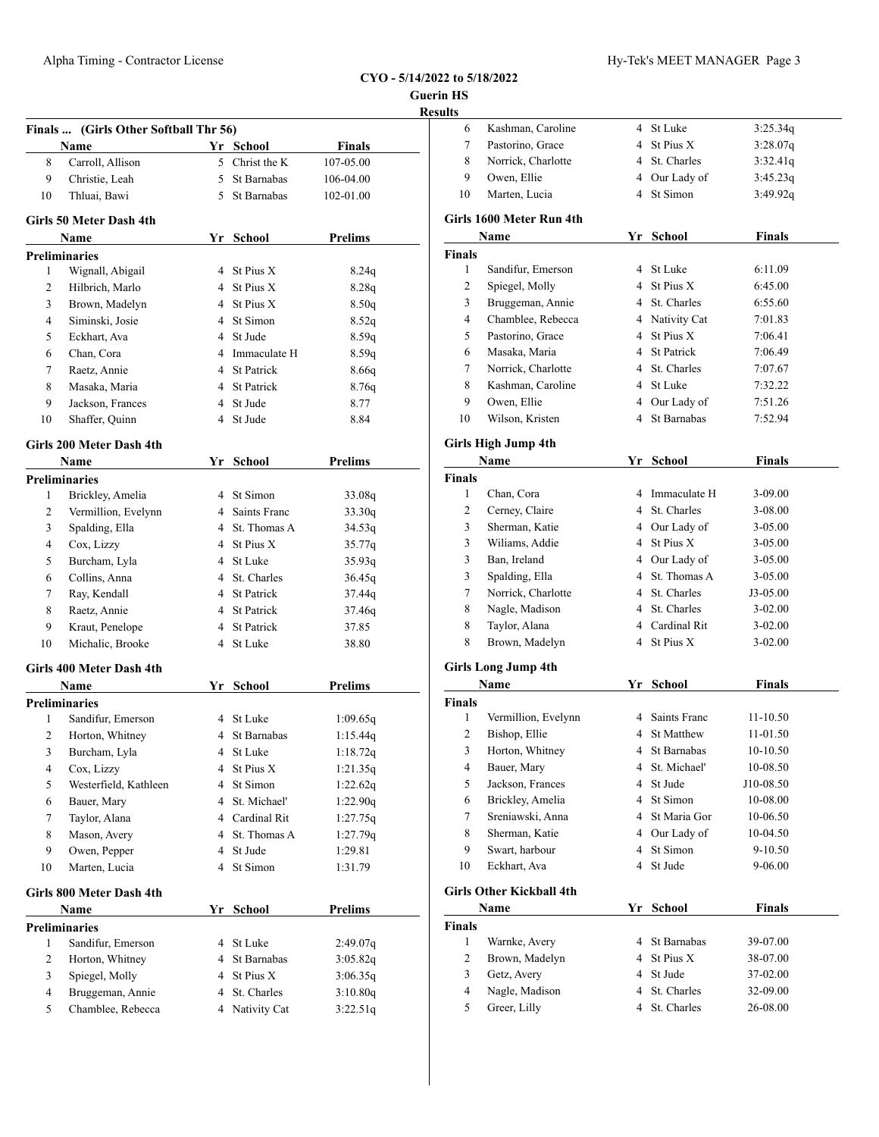## **CYO - 5/14/2022 to 5/18/2022 Guerin HS**

|                |                                       |                | $CYO - 5/14/2022$ | Guerin |
|----------------|---------------------------------------|----------------|-------------------|--------|
|                |                                       |                |                   | Result |
|                | Finals  (Girls Other Softball Thr 56) |                |                   |        |
|                | Name                                  | Yr School      | <b>Finals</b>     |        |
| 8              | Carroll, Allison                      | 5 Christ the K | 107-05.00         |        |
| 9              | Christie, Leah                        | 5 St Barnabas  | 106-04.00         |        |
| 10             | Thluai, Bawi                          | 5 St Barnabas  | 102-01.00         |        |
|                | <b>Girls 50 Meter Dash 4th</b>        |                |                   |        |
|                | Name                                  | Yr School      | <b>Prelims</b>    |        |
|                | <b>Preliminaries</b>                  |                |                   |        |
| 1              | Wignall, Abigail                      | 4 St Pius X    | 8.24q             |        |
| 2              | Hilbrich, Marlo                       | 4 St Pius X    | 8.28q             |        |
| 3              | Brown, Madelyn                        | 4 St Pius X    | 8.50q             |        |
| $\overline{4}$ | Siminski, Josie                       | 4 St Simon     | 8.52q             |        |
| 5              | Eckhart, Ava                          | 4 St Jude      | 8.59q             |        |
| 6              | Chan, Cora                            | 4 Immaculate H | 8.59q             |        |
| 7              | Raetz, Annie                          | 4 St Patrick   | 8.66q             |        |
| 8              | Masaka, Maria                         | 4 St Patrick   | 8.76q             |        |
| 9              | Jackson, Frances                      | 4 St Jude      | 8.77              |        |
| 10             | Shaffer, Quinn                        | 4 St Jude      | 8.84              |        |
|                | Girls 200 Meter Dash 4th              |                |                   |        |
|                | <b>Name</b>                           | Yr School      | <b>Prelims</b>    |        |
|                | <b>Preliminaries</b>                  |                |                   |        |
| 1              | Brickley, Amelia                      | 4 St Simon     | 33.08q            |        |
| 2              | Vermillion, Evelynn                   | 4 Saints Franc | 33.30q            |        |
| 3              | Spalding, Ella                        | 4 St. Thomas A | 34.53q            |        |
| $\overline{4}$ | Cox, Lizzy                            | 4 St Pius X    | 35.77q            |        |
| 5              | Burcham, Lyla                         | 4 St Luke      | 35.93q            |        |
| 6              | Collins, Anna                         | 4 St. Charles  | 36.45q            |        |
| $\overline{7}$ | Ray, Kendall                          | 4 St Patrick   | 37.44q            |        |
| 8              | Raetz, Annie                          | 4 St Patrick   | 37.46q            |        |
| 9              | Kraut, Penelope                       | 4 St Patrick   | 37.85             |        |
| 10             | Michalic, Brooke                      | 4 St Luke      | 38.80             |        |
|                | Girls 400 Meter Dash 4th              |                |                   |        |
|                | Name                                  | Yr School      | <b>Prelims</b>    |        |
|                | <b>Preliminaries</b>                  |                |                   |        |
| 1              | Sandifur, Emerson                     | 4 St Luke      | 1:09.65q          |        |
| 2              | Horton, Whitney                       | 4 St Barnabas  | 1:15.44q          |        |
| 3              | Burcham, Lyla                         | 4 St Luke      | 1:18.72q          |        |
| $\overline{4}$ | Cox, Lizzy                            | 4 St Pius X    | 1:21.35q          |        |
| 5              | Westerfield, Kathleen                 | 4 St Simon     | 1:22.62q          |        |
| 6              | Bauer, Mary                           | 4 St. Michael' | 1:22.90q          |        |
| 7              | Taylor, Alana                         | 4 Cardinal Rit | 1:27.75q          |        |

8 Mason, Avery 4 St. Thomas A 1:27.79q 9 Owen, Pepper 4 St Jude 1:29.81 10 Marten, Lucia 4 St Simon 1:31.79

**Name Yr School Prelims**

1 Sandifur, Emerson 4 St Luke 2:49.07q 2 Horton, Whitney 4 St Barnabas 3:05.82q 3 Spiegel, Molly 4 St Pius X 3:06.35q 4 Bruggeman, Annie 4 St. Charles 3:10.80q 5 Chamblee, Rebecca 4 Nativity Cat 3:22.51q

**Girls 800 Meter Dash 4th**

**Preliminaries**

| ults           |                            |                |                |               |
|----------------|----------------------------|----------------|----------------|---------------|
| 6              | Kashman, Caroline          |                | 4 St Luke      | 3:25.34q      |
| 7              | Pastorino, Grace           |                | 4 St Pius X    | 3:28.07q      |
| 8              | Norrick, Charlotte         | 4              | St. Charles    | 3:32.41q      |
| 9              | Owen, Ellie                |                | 4 Our Lady of  | 3:45.23q      |
| 10             | Marten, Lucia              |                | 4 St Simon     | 3:49.92q      |
|                | Girls 1600 Meter Run 4th   |                |                |               |
|                | Name                       |                | Yr School      | <b>Finals</b> |
| <b>Finals</b>  |                            |                |                |               |
| $\mathbf{1}$   | Sandifur, Emerson          |                | 4 St Luke      | 6:11.09       |
| $\overline{c}$ | Spiegel, Molly             |                | 4 St Pius X    | 6:45.00       |
| 3              | Bruggeman, Annie           |                | 4 St. Charles  | 6:55.60       |
| $\overline{4}$ | Chamblee, Rebecca          |                | 4 Nativity Cat | 7:01.83       |
| 5              | Pastorino, Grace           | $\overline{4}$ | St Pius X      | 7:06.41       |
| 6              | Masaka, Maria              |                | 4 St Patrick   | 7:06.49       |
| 7              | Norrick, Charlotte         |                | 4 St. Charles  | 7:07.67       |
| 8              | Kashman, Caroline          |                | 4 St Luke      | 7:32.22       |
| 9              | Owen, Ellie                |                | 4 Our Lady of  | 7:51.26       |
| 10             | Wilson, Kristen            |                | 4 St Barnabas  | 7:52.94       |
|                | Girls High Jump 4th        |                |                |               |
|                | Name                       |                | Yr School      | Finals        |
| <b>Finals</b>  |                            |                |                |               |
| $\mathbf{1}$   | Chan, Cora                 |                | 4 Immaculate H | 3-09.00       |
| 2              | Cerney, Claire             |                | 4 St. Charles  | 3-08.00       |
| 3              | Sherman, Katie             |                | 4 Our Lady of  | $3 - 05.00$   |
| 3              | Wiliams, Addie             |                | 4 St Pius X    | 3-05.00       |
| 3              | Ban, Ireland               |                | 4 Our Lady of  | $3 - 05.00$   |
| 3              | Spalding, Ella             |                | 4 St. Thomas A | $3 - 05.00$   |
| 7              | Norrick, Charlotte         |                | 4 St. Charles  | $J3-05.00$    |
| 8              | Nagle, Madison             |                | 4 St. Charles  | $3-02.00$     |
| 8              | Taylor, Alana              |                | 4 Cardinal Rit | $3-02.00$     |
| 8              | Brown, Madelyn             |                | 4 St Pius X    | $3 - 02.00$   |
|                | <b>Girls Long Jump 4th</b> |                |                |               |
|                | Name                       |                | Yr School      | Finals        |
| Finals         |                            |                |                |               |
| 1              | Vermillion, Evelynn        |                | 4 Saints Franc | 11-10.50      |
| 2              | Bishop, Ellie              |                | 4 St Matthew   | 11-01.50      |
| 3              | Horton, Whitney            |                | 4 St Barnabas  | 10-10.50      |
| 4              | Bauer, Mary                |                | 4 St. Michael' | 10-08.50      |
| 5              | Jackson, Frances           |                | 4 St Jude      | J10-08.50     |
| 6              | Brickley, Amelia           |                | 4 St Simon     | 10-08.00      |
| 7              | Sreniawski, Anna           | 4              | St Maria Gor   | 10-06.50      |
| 8              | Sherman, Katie             | 4              | Our Lady of    | 10-04.50      |

### **Girls Other Kickball 4th**

|                | Name           |  | Yr School     | <b>Finals</b> |  |
|----------------|----------------|--|---------------|---------------|--|
| Finals         |                |  |               |               |  |
|                | Warnke, Avery  |  | 4 St Barnabas | 39-07.00      |  |
|                | Brown, Madelyn |  | 4 St Pius X   | 38-07.00      |  |
|                | Getz, Avery    |  | 4 St Jude     | 37-02.00      |  |
| $\overline{4}$ | Nagle, Madison |  | 4 St. Charles | 32-09.00      |  |
|                | Greer, Lilly   |  | St. Charles   | 26-08.00      |  |

 Swart, harbour 4 St Simon 9-10.50 10 Eckhart, Ava 4 St Jude 9-06.00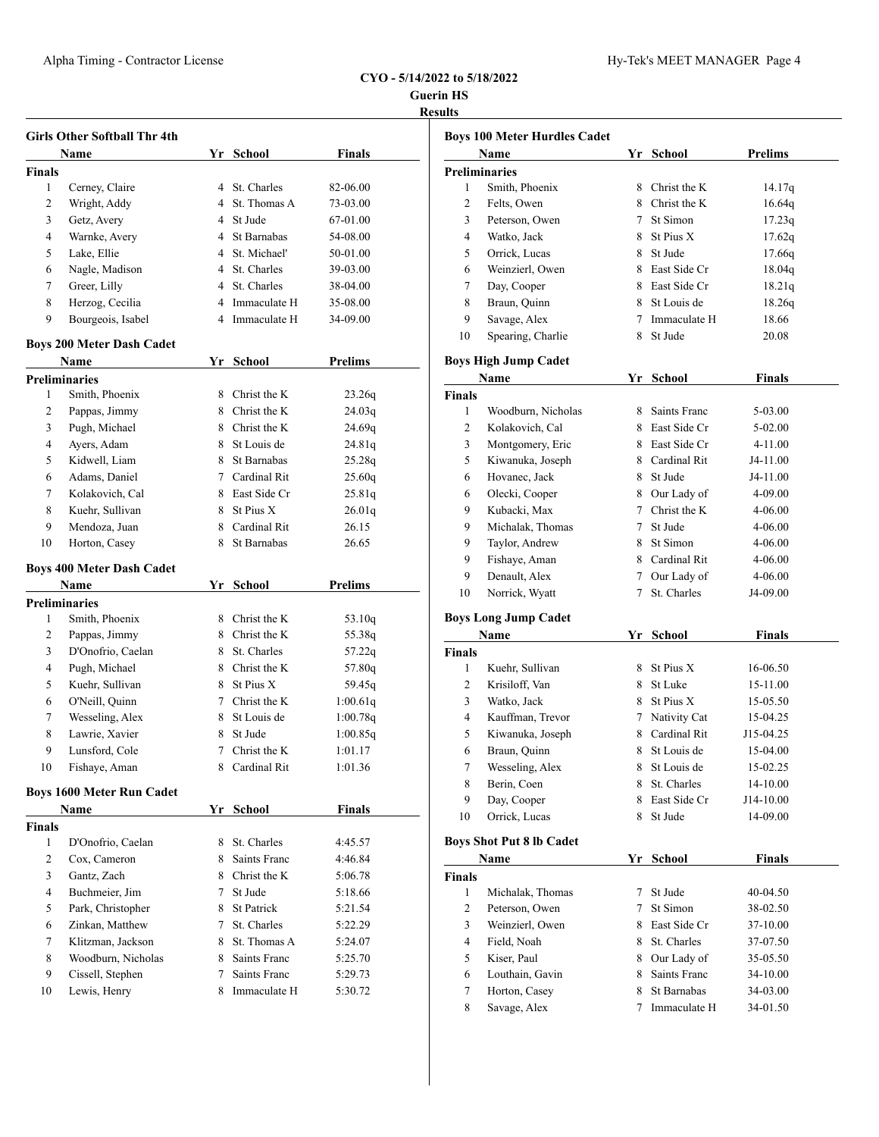**Guerin HS Results**

J.

l,

l,

|               | <b>Girls Other Softball Thr 4th</b> |   |                |                |
|---------------|-------------------------------------|---|----------------|----------------|
|               | Name                                |   | Yr School      | <b>Finals</b>  |
| <b>Finals</b> |                                     |   |                |                |
| 1             | Cerney, Claire                      |   | 4 St. Charles  | 82-06.00       |
| 2             | Wright, Addy                        |   | 4 St. Thomas A | 73-03.00       |
| 3             | Getz, Avery                         |   | 4 St Jude      | 67-01.00       |
| 4             | Warnke, Avery                       |   | 4 St Barnabas  | 54-08.00       |
| 5             | Lake, Ellie                         |   | 4 St. Michael' | 50-01.00       |
| 6             | Nagle, Madison                      |   | 4 St. Charles  | 39-03.00       |
| 7             | Greer, Lilly                        |   | 4 St. Charles  | 38-04.00       |
| 8             | Herzog, Cecilia                     |   | 4 Immaculate H | 35-08.00       |
| 9             | Bourgeois, Isabel                   |   | 4 Immaculate H | 34-09.00       |
|               | <b>Boys 200 Meter Dash Cadet</b>    |   |                |                |
|               | Name                                |   | Yr School      | <b>Prelims</b> |
|               | <b>Preliminaries</b>                |   |                |                |
| 1             | Smith, Phoenix                      |   | 8 Christ the K | 23.26q         |
| 2             | Pappas, Jimmy                       |   | 8 Christ the K | 24.03q         |
| 3             | Pugh, Michael                       |   | 8 Christ the K | 24.69q         |
| 4             | Ayers, Adam                         |   | 8 St Louis de  | 24.81q         |
| 5             | Kidwell, Liam                       | 8 | St Barnabas    | 25.28q         |
| 6             | Adams, Daniel                       |   | 7 Cardinal Rit | 25.60q         |
| 7             | Kolakovich, Cal                     |   | 8 East Side Cr | 25.81q         |
| 8             | Kuehr, Sullivan                     | 8 | St Pius X      | 26.01q         |
| 9             | Mendoza, Juan                       | 8 | Cardinal Rit   | 26.15          |
| 10            | Horton, Casey                       | 8 | St Barnabas    | 26.65          |
|               | <b>Boys 400 Meter Dash Cadet</b>    |   |                |                |
|               | Name                                |   | Yr School      | Prelims        |
|               | <b>Preliminaries</b>                |   |                |                |
| 1             | Smith, Phoenix                      |   | 8 Christ the K | 53.10 $q$      |
| 2             | Pappas, Jimmy                       |   | 8 Christ the K | 55.38q         |
| 3             | D'Onofrio, Caelan                   |   | 8 St. Charles  | 57.22q         |
| 4             | Pugh, Michael                       |   | 8 Christ the K | 57.80q         |
| 5             | Kuehr, Sullivan                     | 8 | St Pius X      | 59.45q         |
| 6             | O'Neill, Quinn                      | 7 | Christ the K   | 1:00.61q       |
| 7             | Wesseling, Alex                     | 8 | St Louis de    | 1:00.78q       |
| 8             | Lawrie, Xavier                      | 8 | St Jude        | 1:00.85q       |
| 9             | Lunsford, Cole                      | 7 | Christ the K   | 1:01.17        |
| 10            | Fishaye, Aman                       |   | 8 Cardinal Rit | 1:01.36        |
|               | <b>Boys 1600 Meter Run Cadet</b>    |   |                |                |
|               | Name                                |   | Yr School      | Finals         |
|               |                                     |   |                |                |
| <b>Finals</b> |                                     |   | St. Charles    | 4:45.57        |
| 1             | D'Onofrio, Caelan                   | 8 |                |                |
| 2             | Cox, Cameron                        | 8 | Saints Franc   | 4:46.84        |
| 3             | Gantz, Zach                         |   | 8 Christ the K | 5:06.78        |
| 4             | Buchmeier, Jim                      | 7 | St Jude        | 5:18.66        |
| 5             | Park, Christopher                   |   | 8 St Patrick   | 5:21.54        |
| 6             | Zinkan, Matthew                     | 7 | St. Charles    | 5:22.29        |
| 7             | Klitzman, Jackson                   | 8 | St. Thomas A   | 5:24.07        |
| 8             | Woodburn, Nicholas                  | 8 | Saints Franc   | 5:25.70        |
| 9             | Cissell, Stephen                    | 7 | Saints Franc   | 5:29.73        |

|              | Boys 100 Meter Hurdles Cadet    |                   |                |                |
|--------------|---------------------------------|-------------------|----------------|----------------|
| Name         |                                 | Yr                | School         | <b>Prelims</b> |
|              | Preliminaries                   |                   |                |                |
| 1            | Smith, Phoenix                  | 8                 | Christ the K   | 14.17q         |
| 2            | Felts, Owen                     |                   | 8 Christ the K | 16.64q         |
| 3            | Peterson, Owen                  |                   | 7 St Simon     | 17.23q         |
| 4            | Watko, Jack                     |                   | 8 St Pius X    | 17.62q         |
| 5            | Orrick, Lucas                   |                   | 8 St Jude      | 17.66q         |
| 6            | Weinzierl, Owen                 |                   | 8 East Side Cr | 18.04q         |
| 7            | Day, Cooper                     |                   | 8 East Side Cr | 18.21q         |
| 8            | Braun, Quinn                    |                   | 8 St Louis de  | 18.26q         |
| 9            | Savage, Alex                    |                   | 7 Immaculate H | 18.66          |
| 10           | Spearing, Charlie               | 8                 | St Jude        | 20.08          |
|              | Boys High Jump Cadet            |                   |                |                |
|              | Name                            | Yr                | School         | <b>Finals</b>  |
| Finals       |                                 |                   |                |                |
| 1            | Woodburn, Nicholas              |                   | 8 Saints Franc | 5-03.00        |
| 2            | Kolakovich, Cal                 |                   | 8 East Side Cr | 5-02.00        |
| 3            | Montgomery, Eric                |                   | 8 East Side Cr | 4-11.00        |
| 5            | Kiwanuka, Joseph                |                   | 8 Cardinal Rit | J4-11.00       |
| 6            | Hovanec, Jack                   |                   | 8 St Jude      | J4-11.00       |
| 6            | Olecki, Cooper                  |                   | 8 Our Lady of  | 4-09.00        |
| 9            | Kubacki, Max                    |                   | 7 Christ the K | 4-06.00        |
| 9            | Michalak, Thomas                |                   | 7 St Jude      | 4-06.00        |
| 9            | Taylor, Andrew                  |                   | 8 St Simon     | 4-06.00        |
| 9            | Fishaye, Aman                   |                   | 8 Cardinal Rit | 4-06.00        |
| 9            | Denault, Alex                   | $7\phantom{.000}$ | Our Lady of    | 4-06.00        |
| 10           | Norrick, Wyatt                  | 7                 | St. Charles    | J4-09.00       |
|              | <b>Boys Long Jump Cadet</b>     |                   |                |                |
|              | Name                            |                   | Yr School      | <b>Finals</b>  |
| Finals       |                                 |                   |                |                |
| 1            | Kuehr, Sullivan                 |                   | 8 St Pius X    | 16-06.50       |
| 2            | Krisiloff, Van                  |                   | 8 St Luke      | 15-11.00       |
| 3            | Watko, Jack                     |                   | 8 St Pius X    | 15-05.50       |
| 4            | Kauffman, Trevor                |                   | 7 Nativity Cat | 15-04.25       |
| 5            | Kiwanuka, Joseph                |                   | 8 Cardinal Rit | J15-04.25      |
| 6            | Braun, Quinn                    |                   | 8 St Louis de  | 15-04.00       |
| 7            | Wesseling, Alex                 | 8                 | St Louis de    | 15-02.25       |
| 8            | Berin, Coen                     | 8                 | St. Charles    | 14-10.00       |
| 9            | Day, Cooper                     | 8                 | East Side Cr   | J14-10.00      |
| 10           | Orrick, Lucas                   | 8                 | St Jude        | 14-09.00       |
|              | <b>Boys Shot Put 8 lb Cadet</b> |                   |                |                |
|              | Name                            | Yr                | School         | <b>Finals</b>  |
| Finals       |                                 |                   |                |                |
| 1            | Michalak, Thomas                | 7                 | St Jude        | 40-04.50       |
| $\mathbf{2}$ | Peterson, Owen                  | 7                 | St Simon       | 38-02.50       |
| 3            | Weinzierl, Owen                 | 8                 | East Side Cr   | 37-10.00       |
| 4            | Field, Noah                     | 8.                | St. Charles    | 37-07.50       |
| 5            | Kiser, Paul                     | 8                 | Our Lady of    | 35-05.50       |
| 6            | Louthain, Gavin                 | 8                 | Saints Franc   | 34-10.00       |
| 7            | Horton, Casey                   | 8                 | St Barnabas    | 34-03.00       |
| 8            | Savage, Alex                    | 7                 | Immaculate H   | 34-01.50       |
|              |                                 |                   |                |                |
|              |                                 |                   |                |                |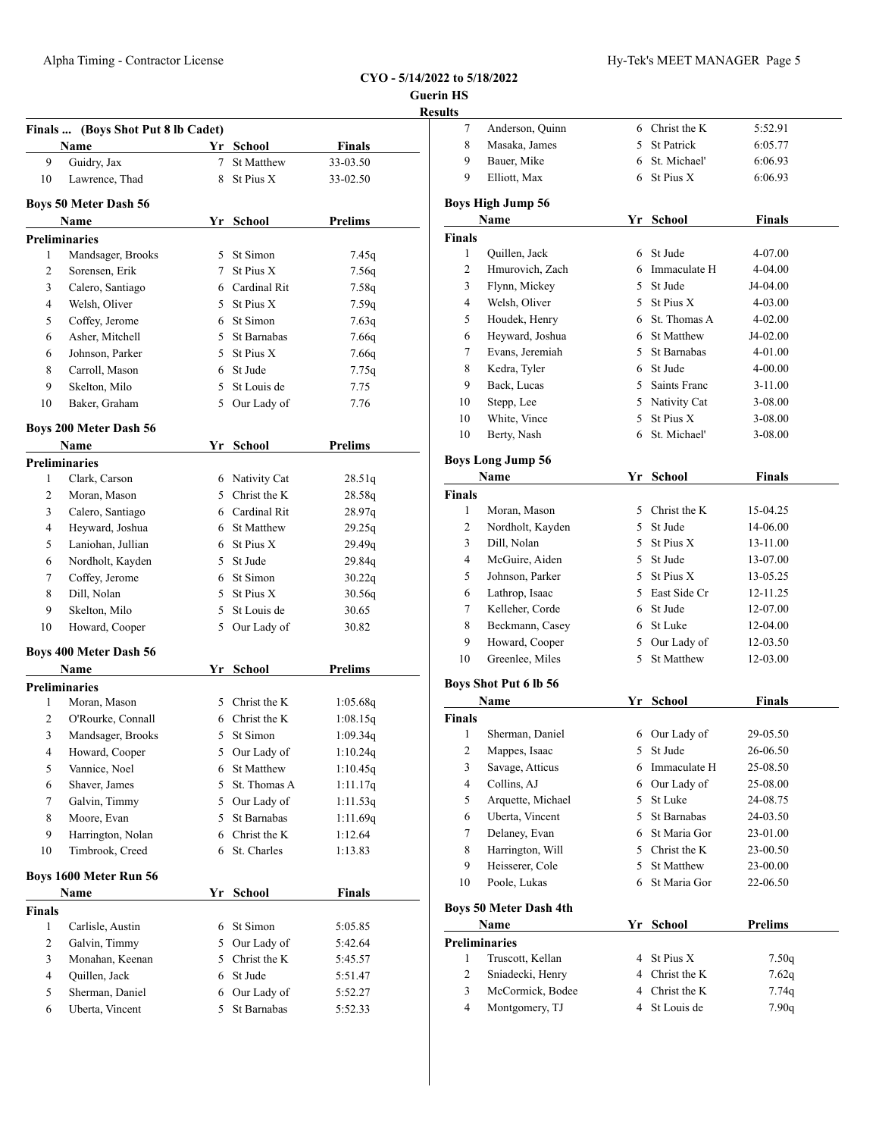## **Guerin HS** <u>lesul</u>

|                    | Finals  (Boys Shot Put 8 lb Cadet)   |             |                               |                      |
|--------------------|--------------------------------------|-------------|-------------------------------|----------------------|
|                    | <b>Name</b>                          |             | Yr School                     | Finals               |
| 9                  | Guidry, Jax                          | $7^{\circ}$ | <b>St Matthew</b>             | 33-03.50             |
| 10                 | Lawrence, Thad                       | 8           | St Pius X                     | 33-02.50             |
|                    | <b>Boys 50 Meter Dash 56</b>         |             |                               |                      |
|                    | Name                                 |             | Yr School                     | Prelims              |
|                    | <b>Preliminaries</b>                 |             |                               |                      |
| 1                  | Mandsager, Brooks                    |             | 5 St Simon                    | 7.45q                |
| 2                  | Sorensen, Erik                       |             | 7 St Pius X                   | 7.56q                |
| 3                  | Calero, Santiago                     |             | 6 Cardinal Rit                | 7.58q                |
| 4                  | Welsh, Oliver                        |             | 5 St Pius X                   | 7.59q                |
| 5                  | Coffey, Jerome                       |             | 6 St Simon                    | 7.63q                |
| 6                  | Asher, Mitchell                      |             | 5 St Barnabas                 | 7.66q                |
| 6                  | Johnson, Parker                      |             | 5 St Pius X                   | 7.66q                |
| 8                  | Carroll, Mason                       |             | 6 St Jude                     | 7.75q                |
| 9                  | Skelton, Milo                        | 5           | St Louis de                   | 7.75                 |
| 10                 | Baker, Graham                        | 5           | Our Lady of                   | 7.76                 |
|                    | <b>Boys 200 Meter Dash 56</b>        |             |                               |                      |
|                    | Name                                 |             | Yr School                     | <b>Prelims</b>       |
|                    | <b>Preliminaries</b>                 |             |                               |                      |
| 1                  | Clark. Carson                        |             | 6 Nativity Cat                | 28.51q               |
| 2                  | Moran, Mason                         |             | 5 Christ the K                | 28.58q               |
| 3                  | Calero, Santiago                     |             | 6 Cardinal Rit                | 28.97q               |
| 4                  | Heyward, Joshua                      |             | 6 St Matthew                  | 29.25q               |
| 5                  | Laniohan, Jullian                    |             | 6 St Pius X                   | 29.49q               |
| 6                  | Nordholt, Kayden                     |             | 5 St Jude                     | 29.84q               |
| 7                  | Coffey, Jerome                       |             | 6 St Simon                    | 30.22q               |
| 8                  | Dill, Nolan                          | 5           | St Pius X                     | 30.56q               |
| 9                  | Skelton, Milo                        | 5           | St Louis de                   | 30.65                |
| 10                 | Howard, Cooper                       | 5           | Our Lady of                   | 30.82                |
|                    | <b>Boys 400 Meter Dash 56</b>        |             |                               |                      |
|                    | Name                                 |             | Yr School                     | <b>Prelims</b>       |
|                    | <b>Preliminaries</b>                 |             |                               |                      |
|                    | Moran, Mason                         |             | 5 Christ the K                | 1:05.68q             |
| 1                  |                                      |             |                               |                      |
| 2                  | O'Rourke, Connall                    |             | 6 Christ the K                | 1:08.15q             |
| 3                  | Mandsager, Brooks                    | 5           | St Simon                      | 1:09.34q             |
| 4                  | Howard, Cooper                       |             |                               |                      |
| 5                  | Vannice, Noel                        |             | 5 Our Lady of<br>6 St Matthew | 1:10.24q<br>1:10.45q |
| 6                  | Shaver, James                        |             | 5 St. Thomas A                |                      |
| 7                  |                                      | 5           | Our Lady of                   | 1:11.17q<br>1:11.53q |
| 8                  | Galvin, Timmy<br>Moore, Evan         | 5           | St Barnabas                   | 1:11.69q             |
| 9                  |                                      |             |                               |                      |
| 10                 | Harrington, Nolan<br>Timbrook, Creed | 6           | 6 Christ the K<br>St. Charles | 1:12.64<br>1:13.83   |
|                    |                                      |             |                               |                      |
|                    | Boys 1600 Meter Run 56               |             |                               |                      |
|                    | Name                                 | Yr          | School                        | <b>Finals</b>        |
| 1                  |                                      |             | 6 St Simon                    | 5:05.85              |
| 2                  | Carlisle, Austin                     |             | 5 Our Lady of                 |                      |
| <b>Finals</b><br>3 | Galvin, Timmy                        |             |                               | 5:42.64              |
| 4                  | Monahan, Keenan                      |             | 5 Christ the K<br>6 St Jude   | 5:45.57              |
| 5                  | Quillen, Jack<br>Sherman, Daniel     |             | 6 Our Lady of                 | 5:51.47<br>5:52.27   |

| sults          |                                      |   |                |                |
|----------------|--------------------------------------|---|----------------|----------------|
| 7              | Anderson, Quinn                      |   | 6 Christ the K | 5:52.91        |
| 8              | Masaka, James                        |   | 5 St Patrick   | 6:05.77        |
| 9              | Bauer, Mike                          |   | 6 St. Michael' | 6:06.93        |
| 9              | Elliott, Max                         |   | 6 St Pius X    | 6:06.93        |
|                | <b>Boys High Jump 56</b>             |   |                |                |
|                | Name                                 |   | Yr School      | <b>Finals</b>  |
| <b>Finals</b>  |                                      |   |                |                |
| 1              | Quillen, Jack                        |   | 6 St Jude      | 4-07.00        |
| 2              | Hmurovich, Zach                      |   | 6 Immaculate H | 4-04.00        |
| 3              | Flynn, Mickey                        |   | 5 St Jude      | J4-04.00       |
| 4              | Welsh, Oliver                        |   | 5 St Pius X    | 4-03.00        |
| 5              | Houdek, Henry                        |   | 6 St. Thomas A | 4-02.00        |
| 6              | Heyward, Joshua                      |   | 6 St Matthew   | J4-02.00       |
| 7              | Evans, Jeremiah                      |   | 5 St Barnabas  | 4-01.00        |
| 8              | Kedra, Tyler                         |   | 6 St Jude      | 4-00.00        |
| 9              | Back, Lucas                          |   | 5 Saints Franc | 3-11.00        |
| 10             | Stepp, Lee                           |   | 5 Nativity Cat | 3-08.00        |
| 10             | White, Vince                         |   | 5 St Pius X    | 3-08.00        |
| 10             | Berty, Nash                          | 6 | St. Michael'   | 3-08.00        |
|                | <b>Boys Long Jump 56</b>             |   |                |                |
|                | Name                                 |   | Yr School      | <b>Finals</b>  |
| <b>Finals</b>  |                                      |   |                |                |
| 1              | Moran, Mason                         |   | 5 Christ the K | 15-04.25       |
| 2              | Nordholt, Kayden                     |   | 5 St Jude      | 14-06.00       |
| 3              | Dill, Nolan                          |   | 5 St Pius X    | 13-11.00       |
| 4              | McGuire, Aiden                       |   | 5 St Jude      | 13-07.00       |
| 5              | Johnson, Parker                      |   | 5 St Pius X    | 13-05.25       |
| 6              | Lathrop, Isaac                       |   | 5 East Side Cr | 12-11.25       |
| 7              | Kelleher, Corde                      |   | 6 St Jude      | 12-07.00       |
| 8              | Beckmann, Casey                      |   | 6 St Luke      | 12-04.00       |
| 9              | Howard, Cooper                       |   | 5 Our Lady of  | 12-03.50       |
| 10             | Greenlee, Miles                      | 5 | St Matthew     | 12-03.00       |
|                | <b>Boys Shot Put 6 lb 56</b>         |   |                |                |
|                | Name                                 |   | Yr School      | <b>Finals</b>  |
| <b>Finals</b>  |                                      |   |                |                |
| 1              | Sherman, Daniel                      |   | 6 Our Lady of  | 29-05.50       |
| $\overline{c}$ | Mappes, Isaac                        |   | 5 St Jude      | 26-06.50       |
|                |                                      |   |                |                |
| 3              | Savage, Atticus                      |   | 6 Immaculate H | 25-08.50       |
| 4              | Collins, AJ                          |   | 6 Our Lady of  | 25-08.00       |
| 5              | Arquette, Michael                    | 5 | St Luke        | 24-08.75       |
| 6              | Uberta, Vincent                      |   | 5 St Barnabas  | 24-03.50       |
| 7              | Delaney, Evan                        |   | 6 St Maria Gor | 23-01.00       |
| 8              | Harrington, Will                     |   | 5 Christ the K | 23-00.50       |
| 9              | Heisserer, Cole                      |   | 5 St Matthew   | 23-00.00       |
| 10             | Poole, Lukas                         |   | 6 St Maria Gor | 22-06.50       |
|                | <b>Boys 50 Meter Dash 4th</b>        |   |                |                |
|                | Name                                 |   | Yr School      | <b>Prelims</b> |
| 1              | <b>Preliminaries</b>                 |   | 4 St Pius X    |                |
| $\overline{c}$ | Truscott, Kellan                     |   | 4 Christ the K | 7.50q          |
| 3              | Sniadecki, Henry<br>McCormick, Bodee |   | 4 Christ the K | 7.62q<br>7.74q |